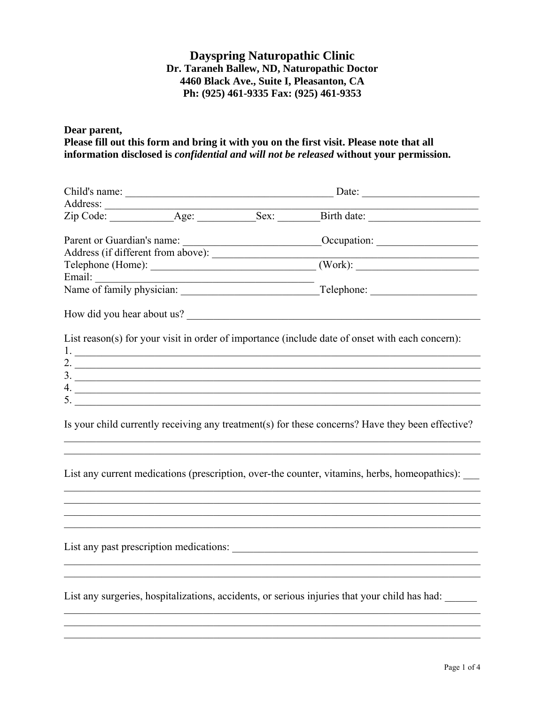# **Dayspring Naturopathic Clinic Dr. Taraneh Ballew, ND, Naturopathic Doctor 4460 Black Ave., Suite I, Pleasanton, CA Ph: (925) 461-9335 Fax: (925) 461-9353**

**Dear parent, Please fill out this form and bring it with you on the first visit. Please note that all information disclosed is** *confidential and will not be released* **without your permission.** 

|                                                                                                                                                                                                                                                                                                                        | How did you hear about us?                                                                                            |
|------------------------------------------------------------------------------------------------------------------------------------------------------------------------------------------------------------------------------------------------------------------------------------------------------------------------|-----------------------------------------------------------------------------------------------------------------------|
|                                                                                                                                                                                                                                                                                                                        | List reason(s) for your visit in order of importance (include date of onset with each concern):                       |
| $1.$ $\overline{\phantom{a}}$                                                                                                                                                                                                                                                                                          |                                                                                                                       |
| 2. $\overline{\phantom{a}}$                                                                                                                                                                                                                                                                                            |                                                                                                                       |
| $\frac{3}{2}$                                                                                                                                                                                                                                                                                                          |                                                                                                                       |
|                                                                                                                                                                                                                                                                                                                        |                                                                                                                       |
| 5. $\frac{1}{2}$ $\frac{1}{2}$ $\frac{1}{2}$ $\frac{1}{2}$ $\frac{1}{2}$ $\frac{1}{2}$ $\frac{1}{2}$ $\frac{1}{2}$ $\frac{1}{2}$ $\frac{1}{2}$ $\frac{1}{2}$ $\frac{1}{2}$ $\frac{1}{2}$ $\frac{1}{2}$ $\frac{1}{2}$ $\frac{1}{2}$ $\frac{1}{2}$ $\frac{1}{2}$ $\frac{1}{2}$ $\frac{1}{2}$ $\frac{1}{2}$ $\frac{1}{2}$ |                                                                                                                       |
|                                                                                                                                                                                                                                                                                                                        | Is your child currently receiving any treatment(s) for these concerns? Have they been effective?                      |
|                                                                                                                                                                                                                                                                                                                        |                                                                                                                       |
|                                                                                                                                                                                                                                                                                                                        | List any current medications (prescription, over-the counter, vitamins, herbs, homeopathics):                         |
|                                                                                                                                                                                                                                                                                                                        |                                                                                                                       |
|                                                                                                                                                                                                                                                                                                                        |                                                                                                                       |
|                                                                                                                                                                                                                                                                                                                        | <u> 1989 - Johann Barn, amerikan berkema dalam berkema dalam berkema dalam berkema dalam berkema dalam berkema da</u> |
|                                                                                                                                                                                                                                                                                                                        |                                                                                                                       |
|                                                                                                                                                                                                                                                                                                                        | List any surgeries, hospitalizations, accidents, or serious injuries that your child has had:                         |
|                                                                                                                                                                                                                                                                                                                        |                                                                                                                       |

 $\mathcal{L}_\mathcal{L} = \mathcal{L}_\mathcal{L} = \mathcal{L}_\mathcal{L} = \mathcal{L}_\mathcal{L} = \mathcal{L}_\mathcal{L} = \mathcal{L}_\mathcal{L} = \mathcal{L}_\mathcal{L} = \mathcal{L}_\mathcal{L} = \mathcal{L}_\mathcal{L} = \mathcal{L}_\mathcal{L} = \mathcal{L}_\mathcal{L} = \mathcal{L}_\mathcal{L} = \mathcal{L}_\mathcal{L} = \mathcal{L}_\mathcal{L} = \mathcal{L}_\mathcal{L} = \mathcal{L}_\mathcal{L} = \mathcal{L}_\mathcal{L}$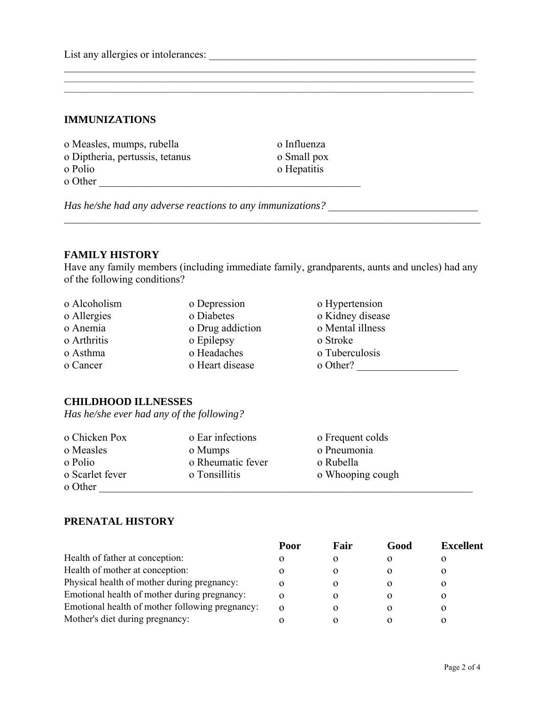List any allergies or intolerances: \_\_\_\_\_\_\_\_\_\_\_\_\_\_\_\_\_\_\_\_\_\_\_\_\_\_\_\_\_\_\_\_\_\_\_\_\_\_\_\_\_\_\_\_\_\_\_\_\_\_

### **IMMUNIZATIONS**

| o Measles, mumps, rubella       | o Influenza |
|---------------------------------|-------------|
| o Diptheria, pertussis, tetanus | o Small pox |
| o Polio                         | o Hepatitis |
| o Other                         |             |

*Has he/she had any adverse reactions to any immunizations?* \_\_\_\_\_\_\_\_\_\_\_\_\_\_\_\_\_\_\_\_\_\_\_\_\_\_\_\_

#### **FAMILY HISTORY**

Have any family members (including immediate family, grandparents, aunts and uncles) had any of the following conditions?

\_\_\_\_\_\_\_\_\_\_\_\_\_\_\_\_\_\_\_\_\_\_\_\_\_\_\_\_\_\_\_\_\_\_\_\_\_\_\_\_\_\_\_\_\_\_\_\_\_\_\_\_\_\_\_\_\_\_\_\_\_\_\_\_\_\_\_\_\_\_\_\_\_\_\_\_\_\_

\_\_\_\_\_\_\_\_\_\_\_\_\_\_\_\_\_\_\_\_\_\_\_\_\_\_\_\_\_\_\_\_\_\_\_\_\_\_\_\_\_\_\_\_\_\_\_\_\_\_\_\_\_\_\_\_\_\_\_\_\_\_\_\_\_\_\_\_\_\_\_\_\_\_\_\_\_

 $\mathcal{L}_\mathcal{L} = \{ \mathcal{L}_\mathcal{L} = \{ \mathcal{L}_\mathcal{L} = \{ \mathcal{L}_\mathcal{L} = \{ \mathcal{L}_\mathcal{L} = \{ \mathcal{L}_\mathcal{L} = \{ \mathcal{L}_\mathcal{L} = \{ \mathcal{L}_\mathcal{L} = \{ \mathcal{L}_\mathcal{L} = \{ \mathcal{L}_\mathcal{L} = \{ \mathcal{L}_\mathcal{L} = \{ \mathcal{L}_\mathcal{L} = \{ \mathcal{L}_\mathcal{L} = \{ \mathcal{L}_\mathcal{L} = \{ \mathcal{L}_\mathcal{$  $\mathcal{L}_\mathcal{L} = \{ \mathcal{L}_\mathcal{L} = \{ \mathcal{L}_\mathcal{L} = \{ \mathcal{L}_\mathcal{L} = \{ \mathcal{L}_\mathcal{L} = \{ \mathcal{L}_\mathcal{L} = \{ \mathcal{L}_\mathcal{L} = \{ \mathcal{L}_\mathcal{L} = \{ \mathcal{L}_\mathcal{L} = \{ \mathcal{L}_\mathcal{L} = \{ \mathcal{L}_\mathcal{L} = \{ \mathcal{L}_\mathcal{L} = \{ \mathcal{L}_\mathcal{L} = \{ \mathcal{L}_\mathcal{L} = \{ \mathcal{L}_\mathcal{$ 

| o Alcoholism | o Depression     | o Hypertension   |
|--------------|------------------|------------------|
| o Allergies  | o Diabetes       | o Kidney disease |
| o Anemia     | o Drug addiction | o Mental illness |
| o Arthritis  | o Epilepsy       | o Stroke         |
| o Asthma     | o Headaches      | o Tuberculosis   |
| o Cancer     | o Heart disease  | o Other?         |

#### **CHILDHOOD ILLNESSES**

*Has he/she ever had any of the following?* 

| o Chicken Pox   | o Ear infections  | o Frequent colds |  |
|-----------------|-------------------|------------------|--|
| o Measles       | o Mumps           | o Pneumonia      |  |
| o Polio         | o Rheumatic fever | o Rubella        |  |
| o Scarlet fever | o Tonsillitis     | o Whooping cough |  |
| o Other         |                   |                  |  |

## **PRENATAL HISTORY**

|                                                 | Poor     | Fair              | Good | <b>Excellent</b> |
|-------------------------------------------------|----------|-------------------|------|------------------|
| Health of father at conception:                 | $\Omega$ | O                 |      |                  |
| Health of mother at conception:                 | $\Omega$ | $\mathbf{\Omega}$ |      |                  |
| Physical health of mother during pregnancy:     | $\Omega$ | $\Omega$          |      |                  |
| Emotional health of mother during pregnancy:    | 0        | $\mathbf{\Omega}$ |      |                  |
| Emotional health of mother following pregnancy: | $\Omega$ | $\Omega$          |      |                  |
| Mother's diet during pregnancy:                 |          |                   |      |                  |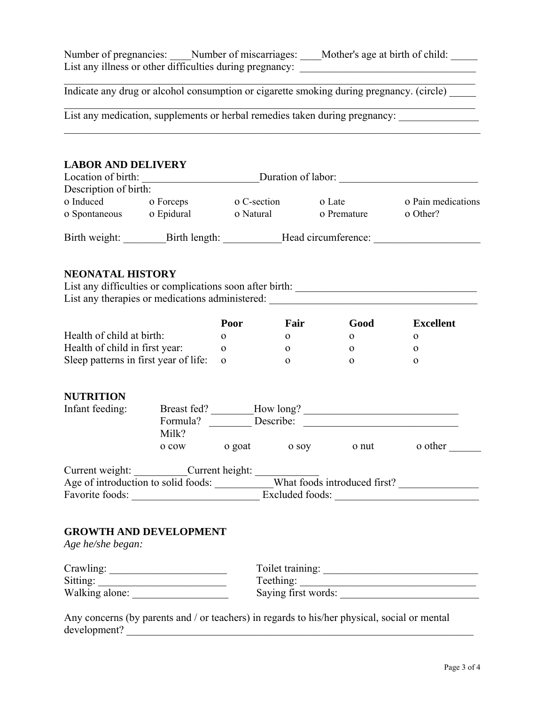| Number of pregnancies: | Number of miscarriages:                                  | Mother's age at birth of child: |  |
|------------------------|----------------------------------------------------------|---------------------------------|--|
|                        | List any illness or other difficulties during pregnancy: |                                 |  |

Mother's age at birth of child: \_\_\_\_\_

Indicate any drug or alcohol consumption or cigarette smoking during pregnancy. (circle)

 $\mathcal{L}_\mathcal{L} = \{ \mathcal{L}_\mathcal{L} = \{ \mathcal{L}_\mathcal{L} = \{ \mathcal{L}_\mathcal{L} = \{ \mathcal{L}_\mathcal{L} = \{ \mathcal{L}_\mathcal{L} = \{ \mathcal{L}_\mathcal{L} = \{ \mathcal{L}_\mathcal{L} = \{ \mathcal{L}_\mathcal{L} = \{ \mathcal{L}_\mathcal{L} = \{ \mathcal{L}_\mathcal{L} = \{ \mathcal{L}_\mathcal{L} = \{ \mathcal{L}_\mathcal{L} = \{ \mathcal{L}_\mathcal{L} = \{ \mathcal{L}_\mathcal{$ 

 $\mathcal{L}_\mathcal{L} = \{ \mathcal{L}_\mathcal{L} = \{ \mathcal{L}_\mathcal{L} = \{ \mathcal{L}_\mathcal{L} = \{ \mathcal{L}_\mathcal{L} = \{ \mathcal{L}_\mathcal{L} = \{ \mathcal{L}_\mathcal{L} = \{ \mathcal{L}_\mathcal{L} = \{ \mathcal{L}_\mathcal{L} = \{ \mathcal{L}_\mathcal{L} = \{ \mathcal{L}_\mathcal{L} = \{ \mathcal{L}_\mathcal{L} = \{ \mathcal{L}_\mathcal{L} = \{ \mathcal{L}_\mathcal{L} = \{ \mathcal{L}_\mathcal{$ 

 $\mathcal{L}_\mathcal{L} = \mathcal{L}_\mathcal{L} = \mathcal{L}_\mathcal{L} = \mathcal{L}_\mathcal{L} = \mathcal{L}_\mathcal{L} = \mathcal{L}_\mathcal{L} = \mathcal{L}_\mathcal{L} = \mathcal{L}_\mathcal{L} = \mathcal{L}_\mathcal{L} = \mathcal{L}_\mathcal{L} = \mathcal{L}_\mathcal{L} = \mathcal{L}_\mathcal{L} = \mathcal{L}_\mathcal{L} = \mathcal{L}_\mathcal{L} = \mathcal{L}_\mathcal{L} = \mathcal{L}_\mathcal{L} = \mathcal{L}_\mathcal{L}$ 

List any medication, supplements or herbal remedies taken during pregnancy:

#### **LABOR AND DELIVERY**

| Location of birth:    |               | Duration of labor: |                     |                    |
|-----------------------|---------------|--------------------|---------------------|--------------------|
| Description of birth: |               |                    |                     |                    |
| o Induced             | o Forceps     | o C-section        | o Late              | o Pain medications |
| o Spontaneous         | o Epidural    | o Natural          | o Premature         | o Other?           |
| Birth weight:         | Birth length: |                    | Head circumference: |                    |

#### **NEONATAL HISTORY**

| List any difficulties or complications soon after birth: |  |
|----------------------------------------------------------|--|
| List any therapies or medications administered:          |  |

|                                       | Poor | Fair | Good | <b>Excellent</b> |
|---------------------------------------|------|------|------|------------------|
| Health of child at birth:             |      |      |      |                  |
| Health of child in first year:        |      |      |      |                  |
| Sleep patterns in first year of life: |      |      |      |                  |

### **NUTRITION**

| Infant feeding:                    | Breast fed?       |                 | How long? |                              |         |
|------------------------------------|-------------------|-----------------|-----------|------------------------------|---------|
|                                    | Formula?<br>Milk? |                 | Describe: |                              |         |
|                                    | o cow             | o goat          | o sov     | o nut                        | o other |
| Current weight:                    |                   | Current height: |           |                              |         |
| Age of introduction to solid foods |                   |                 |           | What foods introduced first? |         |

| Age of introduction to solid foods: | What foods introduced first? |
|-------------------------------------|------------------------------|
| Favorite foods:                     | Excluded foods:              |

## **GROWTH AND DEVELOPMENT**

*Age he/she began:* 

| Crawling:      | Toilet training:    |
|----------------|---------------------|
| Sitting:       | Teething:           |
| Walking alone: | Saying first words: |

Any concerns (by parents and / or teachers) in regards to his/her physical, social or mental development? \_\_\_\_\_\_\_\_\_\_\_\_\_\_\_\_\_\_\_\_\_\_\_\_\_\_\_\_\_\_\_\_\_\_\_\_\_\_\_\_\_\_\_\_\_\_\_\_\_\_\_\_\_\_\_\_\_\_\_\_\_\_\_\_\_